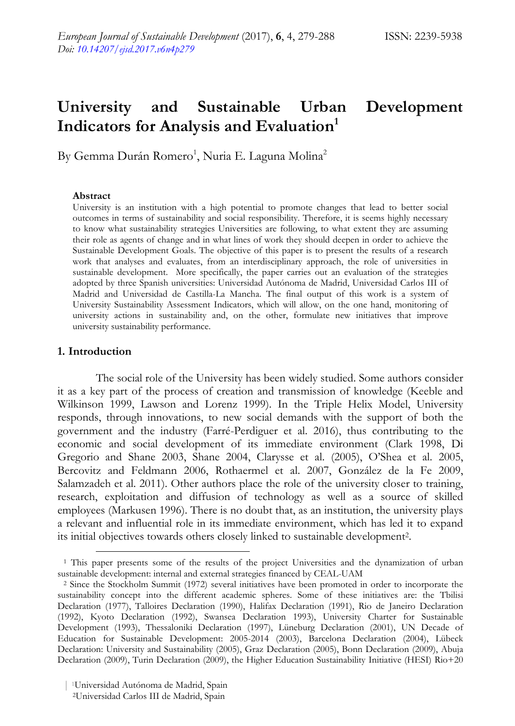# **University and Sustainable Urban Development Indicators for Analysis and Evaluation1**

By Gemma Durán Romero<sup>1</sup>, Nuria E. Laguna Molina<sup>2</sup>

#### **Abstract**

University is an institution with a high potential to promote changes that lead to better social outcomes in terms of sustainability and social responsibility. Therefore, it is seems highly necessary to know what sustainability strategies Universities are following, to what extent they are assuming their role as agents of change and in what lines of work they should deepen in order to achieve the Sustainable Development Goals. The objective of this paper is to present the results of a research work that analyses and evaluates, from an interdisciplinary approach, the role of universities in sustainable development. More specifically, the paper carries out an evaluation of the strategies adopted by three Spanish universities: Universidad Autónoma de Madrid, Universidad Carlos III of Madrid and Universidad de Castilla-La Mancha. The final output of this work is a system of University Sustainability Assessment Indicators, which will allow, on the one hand, monitoring of university actions in sustainability and, on the other, formulate new initiatives that improve university sustainability performance.

## **1. Introduction**

The social role of the University has been widely studied. Some authors consider it as a key part of the process of creation and transmission of knowledge (Keeble and Wilkinson 1999, Lawson and Lorenz 1999). In the Triple Helix Model, University responds, through innovations, to new social demands with the support of both the government and the industry (Farré-Perdiguer et al. 2016), thus contributing to the economic and social development of its immediate environment (Clark 1998, Di Gregorio and Shane 2003, Shane 2004, Clarysse et al. (2005), O'Shea et al. 2005, Bercovitz and Feldmann 2006, Rothaermel et al. 2007, González de la Fe 2009, Salamzadeh et al. 2011). Other authors place the role of the university closer to training, research, exploitation and diffusion of technology as well as a source of skilled employees (Markusen 1996). There is no doubt that, as an institution, the university plays a relevant and influential role in its immediate environment, which has led it to expand its initial objectives towards others closely linked to sustainable development2.

 <sup>1</sup> This paper presents some of the results of the project Universities and the dynamization of urban sustainable development: internal and external strategies financed by CEAL-UAM

<sup>2</sup> Since the Stockholm Summit (1972) several initiatives have been promoted in order to incorporate the sustainability concept into the different academic spheres. Some of these initiatives are: the Tbilisi Declaration (1977), Talloires Declaration (1990), Halifax Declaration (1991), Rio de Janeiro Declaration (1992), Kyoto Declaration (1992), Swansea Declaration 1993), University Charter for Sustainable Development (1993), Thessaloniki Declaration (1997), Lüneburg Declaration (2001), UN Decade of Education for Sustainable Development: 2005-2014 (2003), Barcelona Declaration (2004), Lübeck Declaration: University and Sustainability (2005), Graz Declaration (2005), Bonn Declaration (2009), Abuja Declaration (2009), Turin Declaration (2009), the Higher Education Sustainability Initiative (HESI) Rio+20

<sup>2</sup>Universidad Carlos III de Madrid, Spain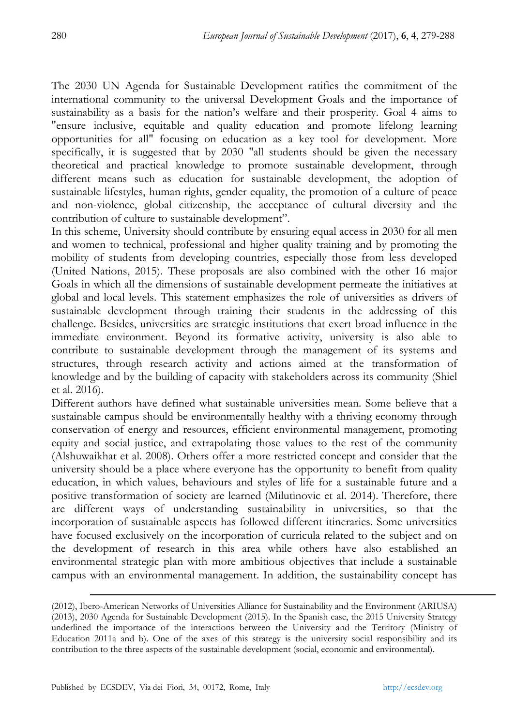The 2030 UN Agenda for Sustainable Development ratifies the commitment of the international community to the universal Development Goals and the importance of sustainability as a basis for the nation's welfare and their prosperity. Goal 4 aims to "ensure inclusive, equitable and quality education and promote lifelong learning opportunities for all" focusing on education as a key tool for development. More specifically, it is suggested that by 2030 "all students should be given the necessary theoretical and practical knowledge to promote sustainable development, through different means such as education for sustainable development, the adoption of sustainable lifestyles, human rights, gender equality, the promotion of a culture of peace and non-violence, global citizenship, the acceptance of cultural diversity and the contribution of culture to sustainable development".

In this scheme, University should contribute by ensuring equal access in 2030 for all men and women to technical, professional and higher quality training and by promoting the mobility of students from developing countries, especially those from less developed (United Nations, 2015). These proposals are also combined with the other 16 major Goals in which all the dimensions of sustainable development permeate the initiatives at global and local levels. This statement emphasizes the role of universities as drivers of sustainable development through training their students in the addressing of this challenge. Besides, universities are strategic institutions that exert broad influence in the immediate environment. Beyond its formative activity, university is also able to contribute to sustainable development through the management of its systems and structures, through research activity and actions aimed at the transformation of knowledge and by the building of capacity with stakeholders across its community (Shiel et al. 2016).

Different authors have defined what sustainable universities mean. Some believe that a sustainable campus should be environmentally healthy with a thriving economy through conservation of energy and resources, efficient environmental management, promoting equity and social justice, and extrapolating those values to the rest of the community (Alshuwaikhat et al. 2008). Others offer a more restricted concept and consider that the university should be a place where everyone has the opportunity to benefit from quality education, in which values, behaviours and styles of life for a sustainable future and a positive transformation of society are learned (Milutinovic et al. 2014). Therefore, there are different ways of understanding sustainability in universities, so that the incorporation of sustainable aspects has followed different itineraries. Some universities have focused exclusively on the incorporation of curricula related to the subject and on the development of research in this area while others have also established an environmental strategic plan with more ambitious objectives that include a sustainable campus with an environmental management. In addition, the sustainability concept has

 <sup>(2012),</sup> Ibero-American Networks of Universities Alliance for Sustainability and the Environment (ARIUSA) (2013), 2030 Agenda for Sustainable Development (2015). In the Spanish case, the 2015 University Strategy underlined the importance of the interactions between the University and the Territory (Ministry of Education 2011a and b). One of the axes of this strategy is the university social responsibility and its contribution to the three aspects of the sustainable development (social, economic and environmental).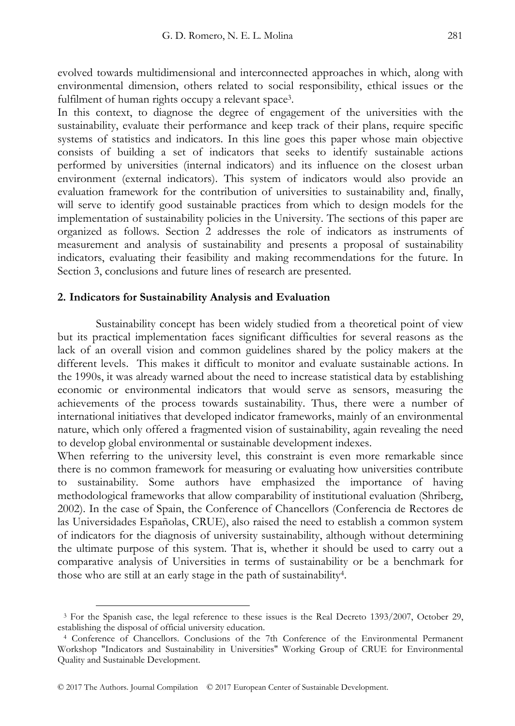evolved towards multidimensional and interconnected approaches in which, along with environmental dimension, others related to social responsibility, ethical issues or the fulfilment of human rights occupy a relevant space<sup>3</sup>.

In this context, to diagnose the degree of engagement of the universities with the sustainability, evaluate their performance and keep track of their plans, require specific systems of statistics and indicators. In this line goes this paper whose main objective consists of building a set of indicators that seeks to identify sustainable actions performed by universities (internal indicators) and its influence on the closest urban environment (external indicators). This system of indicators would also provide an evaluation framework for the contribution of universities to sustainability and, finally, will serve to identify good sustainable practices from which to design models for the implementation of sustainability policies in the University. The sections of this paper are organized as follows. Section 2 addresses the role of indicators as instruments of measurement and analysis of sustainability and presents a proposal of sustainability indicators, evaluating their feasibility and making recommendations for the future. In Section 3, conclusions and future lines of research are presented.

#### **2. Indicators for Sustainability Analysis and Evaluation**

Sustainability concept has been widely studied from a theoretical point of view but its practical implementation faces significant difficulties for several reasons as the lack of an overall vision and common guidelines shared by the policy makers at the different levels. This makes it difficult to monitor and evaluate sustainable actions. In the 1990s, it was already warned about the need to increase statistical data by establishing economic or environmental indicators that would serve as sensors, measuring the achievements of the process towards sustainability. Thus, there were a number of international initiatives that developed indicator frameworks, mainly of an environmental nature, which only offered a fragmented vision of sustainability, again revealing the need to develop global environmental or sustainable development indexes.

When referring to the university level, this constraint is even more remarkable since there is no common framework for measuring or evaluating how universities contribute to sustainability. Some authors have emphasized the importance of having methodological frameworks that allow comparability of institutional evaluation (Shriberg, 2002). In the case of Spain, the Conference of Chancellors (Conferencia de Rectores de las Universidades Españolas, CRUE), also raised the need to establish a common system of indicators for the diagnosis of university sustainability, although without determining the ultimate purpose of this system. That is, whether it should be used to carry out a comparative analysis of Universities in terms of sustainability or be a benchmark for those who are still at an early stage in the path of sustainability4.

 <sup>3</sup> For the Spanish case, the legal reference to these issues is the Real Decreto 1393/2007, October 29, establishing the disposal of official university education.

<sup>4</sup> Conference of Chancellors. Conclusions of the 7th Conference of the Environmental Permanent Workshop "Indicators and Sustainability in Universities" Working Group of CRUE for Environmental Quality and Sustainable Development.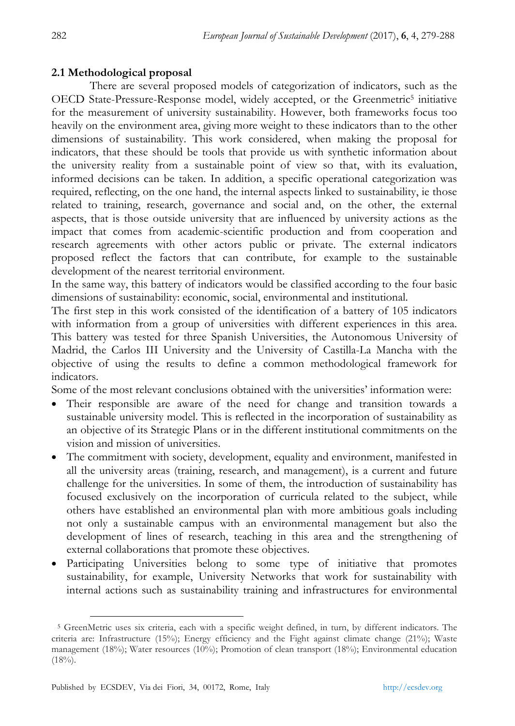## **2.1 Methodological proposal**

There are several proposed models of categorization of indicators, such as the OECD State-Pressure-Response model, widely accepted, or the Greenmetric<sup>5</sup> initiative for the measurement of university sustainability. However, both frameworks focus too heavily on the environment area, giving more weight to these indicators than to the other dimensions of sustainability. This work considered, when making the proposal for indicators, that these should be tools that provide us with synthetic information about the university reality from a sustainable point of view so that, with its evaluation, informed decisions can be taken. In addition, a specific operational categorization was required, reflecting, on the one hand, the internal aspects linked to sustainability, ie those related to training, research, governance and social and, on the other, the external aspects, that is those outside university that are influenced by university actions as the impact that comes from academic-scientific production and from cooperation and research agreements with other actors public or private. The external indicators proposed reflect the factors that can contribute, for example to the sustainable development of the nearest territorial environment.

In the same way, this battery of indicators would be classified according to the four basic dimensions of sustainability: economic, social, environmental and institutional.

The first step in this work consisted of the identification of a battery of 105 indicators with information from a group of universities with different experiences in this area. This battery was tested for three Spanish Universities, the Autonomous University of Madrid, the Carlos III University and the University of Castilla-La Mancha with the objective of using the results to define a common methodological framework for indicators.

Some of the most relevant conclusions obtained with the universities' information were:

- Their responsible are aware of the need for change and transition towards a sustainable university model. This is reflected in the incorporation of sustainability as an objective of its Strategic Plans or in the different institutional commitments on the vision and mission of universities.
- The commitment with society, development, equality and environment, manifested in all the university areas (training, research, and management), is a current and future challenge for the universities. In some of them, the introduction of sustainability has focused exclusively on the incorporation of curricula related to the subject, while others have established an environmental plan with more ambitious goals including not only a sustainable campus with an environmental management but also the development of lines of research, teaching in this area and the strengthening of external collaborations that promote these objectives.
- Participating Universities belong to some type of initiative that promotes sustainability, for example, University Networks that work for sustainability with internal actions such as sustainability training and infrastructures for environmental

 <sup>5</sup> GreenMetric uses six criteria, each with a specific weight defined, in turn, by different indicators. The criteria are: Infrastructure (15%); Energy efficiency and the Fight against climate change (21%); Waste management (18%); Water resources (10%); Promotion of clean transport (18%); Environmental education  $(18\%)$ .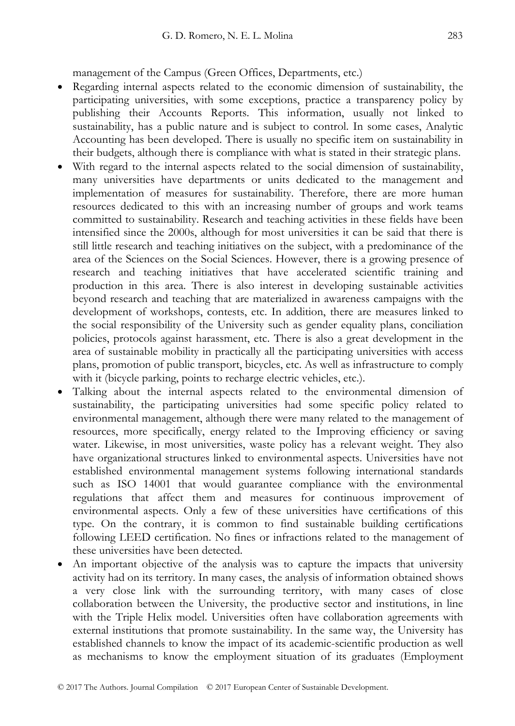management of the Campus (Green Offices, Departments, etc.)

- Regarding internal aspects related to the economic dimension of sustainability, the participating universities, with some exceptions, practice a transparency policy by publishing their Accounts Reports. This information, usually not linked to sustainability, has a public nature and is subject to control. In some cases, Analytic Accounting has been developed. There is usually no specific item on sustainability in their budgets, although there is compliance with what is stated in their strategic plans.
- With regard to the internal aspects related to the social dimension of sustainability, many universities have departments or units dedicated to the management and implementation of measures for sustainability. Therefore, there are more human resources dedicated to this with an increasing number of groups and work teams committed to sustainability. Research and teaching activities in these fields have been intensified since the 2000s, although for most universities it can be said that there is still little research and teaching initiatives on the subject, with a predominance of the area of the Sciences on the Social Sciences. However, there is a growing presence of research and teaching initiatives that have accelerated scientific training and production in this area. There is also interest in developing sustainable activities beyond research and teaching that are materialized in awareness campaigns with the development of workshops, contests, etc. In addition, there are measures linked to the social responsibility of the University such as gender equality plans, conciliation policies, protocols against harassment, etc. There is also a great development in the area of sustainable mobility in practically all the participating universities with access plans, promotion of public transport, bicycles, etc. As well as infrastructure to comply with it (bicycle parking, points to recharge electric vehicles, etc.).
- Talking about the internal aspects related to the environmental dimension of sustainability, the participating universities had some specific policy related to environmental management, although there were many related to the management of resources, more specifically, energy related to the Improving efficiency or saving water. Likewise, in most universities, waste policy has a relevant weight. They also have organizational structures linked to environmental aspects. Universities have not established environmental management systems following international standards such as ISO 14001 that would guarantee compliance with the environmental regulations that affect them and measures for continuous improvement of environmental aspects. Only a few of these universities have certifications of this type. On the contrary, it is common to find sustainable building certifications following LEED certification. No fines or infractions related to the management of these universities have been detected.
- An important objective of the analysis was to capture the impacts that university activity had on its territory. In many cases, the analysis of information obtained shows a very close link with the surrounding territory, with many cases of close collaboration between the University, the productive sector and institutions, in line with the Triple Helix model. Universities often have collaboration agreements with external institutions that promote sustainability. In the same way, the University has established channels to know the impact of its academic-scientific production as well as mechanisms to know the employment situation of its graduates (Employment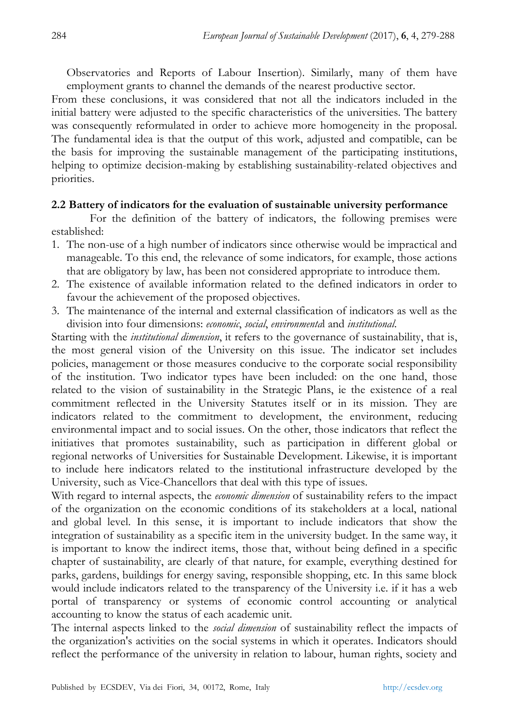Observatories and Reports of Labour Insertion). Similarly, many of them have employment grants to channel the demands of the nearest productive sector.

From these conclusions, it was considered that not all the indicators included in the initial battery were adjusted to the specific characteristics of the universities. The battery was consequently reformulated in order to achieve more homogeneity in the proposal. The fundamental idea is that the output of this work, adjusted and compatible, can be the basis for improving the sustainable management of the participating institutions, helping to optimize decision-making by establishing sustainability-related objectives and priorities.

# **2.2 Battery of indicators for the evaluation of sustainable university performance**

For the definition of the battery of indicators, the following premises were established:

- 1. The non-use of a high number of indicators since otherwise would be impractical and manageable. To this end, the relevance of some indicators, for example, those actions that are obligatory by law, has been not considered appropriate to introduce them.
- 2. The existence of available information related to the defined indicators in order to favour the achievement of the proposed objectives.
- 3. The maintenance of the internal and external classification of indicators as well as the division into four dimensions: *economic*, *social*, *environmenta*l and *institutional*.

Starting with the *institutional dimension*, it refers to the governance of sustainability, that is, the most general vision of the University on this issue. The indicator set includes policies, management or those measures conducive to the corporate social responsibility of the institution. Two indicator types have been included: on the one hand, those related to the vision of sustainability in the Strategic Plans, ie the existence of a real commitment reflected in the University Statutes itself or in its mission. They are indicators related to the commitment to development, the environment, reducing environmental impact and to social issues. On the other, those indicators that reflect the initiatives that promotes sustainability, such as participation in different global or regional networks of Universities for Sustainable Development. Likewise, it is important to include here indicators related to the institutional infrastructure developed by the University, such as Vice-Chancellors that deal with this type of issues.

With regard to internal aspects, the *economic dimension* of sustainability refers to the impact of the organization on the economic conditions of its stakeholders at a local, national and global level. In this sense, it is important to include indicators that show the integration of sustainability as a specific item in the university budget. In the same way, it is important to know the indirect items, those that, without being defined in a specific chapter of sustainability, are clearly of that nature, for example, everything destined for parks, gardens, buildings for energy saving, responsible shopping, etc. In this same block would include indicators related to the transparency of the University i.e. if it has a web portal of transparency or systems of economic control accounting or analytical accounting to know the status of each academic unit.

The internal aspects linked to the *social dimension* of sustainability reflect the impacts of the organization's activities on the social systems in which it operates. Indicators should reflect the performance of the university in relation to labour, human rights, society and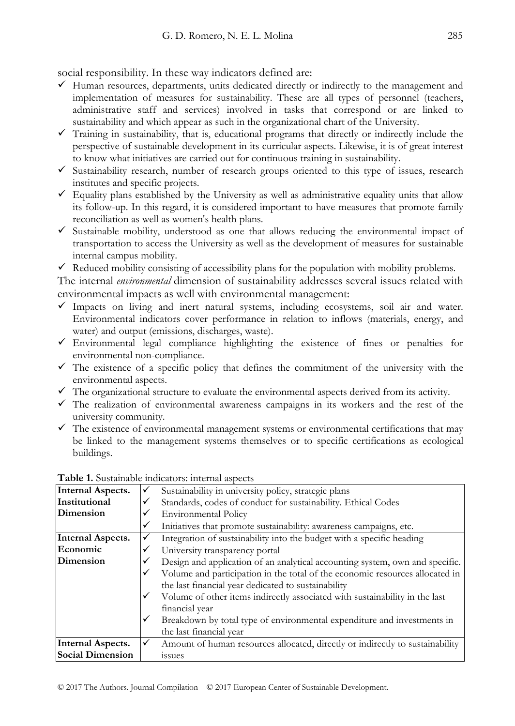social responsibility. In these way indicators defined are:

- $\checkmark$  Human resources, departments, units dedicated directly or indirectly to the management and implementation of measures for sustainability. These are all types of personnel (teachers, administrative staff and services) involved in tasks that correspond or are linked to sustainability and which appear as such in the organizational chart of the University.
- $\checkmark$  Training in sustainability, that is, educational programs that directly or indirectly include the perspective of sustainable development in its curricular aspects. Likewise, it is of great interest to know what initiatives are carried out for continuous training in sustainability.
- $\checkmark$  Sustainability research, number of research groups oriented to this type of issues, research institutes and specific projects.
- $\checkmark$  Equality plans established by the University as well as administrative equality units that allow its follow-up. In this regard, it is considered important to have measures that promote family reconciliation as well as women's health plans.
- $\checkmark$  Sustainable mobility, understood as one that allows reducing the environmental impact of transportation to access the University as well as the development of measures for sustainable internal campus mobility.
- $\checkmark$  Reduced mobility consisting of accessibility plans for the population with mobility problems.

The internal *environmental* dimension of sustainability addresses several issues related with environmental impacts as well with environmental management:

- $\checkmark$  Impacts on living and inert natural systems, including ecosystems, soil air and water. Environmental indicators cover performance in relation to inflows (materials, energy, and water) and output (emissions, discharges, waste).
- $\checkmark$  Environmental legal compliance highlighting the existence of fines or penalties for environmental non-compliance.
- $\checkmark$  The existence of a specific policy that defines the commitment of the university with the environmental aspects.
- $\checkmark$  The organizational structure to evaluate the environmental aspects derived from its activity.
- $\checkmark$  The realization of environmental awareness campaigns in its workers and the rest of the university community.
- $\checkmark$  The existence of environmental management systems or environmental certifications that may be linked to the management systems themselves or to specific certifications as ecological buildings.

| <b>Internal Aspects.</b> | ✓ | Sustainability in university policy, strategic plans                                                                                |  |
|--------------------------|---|-------------------------------------------------------------------------------------------------------------------------------------|--|
| Institutional            | ✓ | Standards, codes of conduct for sustainability. Ethical Codes                                                                       |  |
| Dimension                |   | <b>Environmental Policy</b>                                                                                                         |  |
|                          | ✓ | Initiatives that promote sustainability: awareness campaigns, etc.                                                                  |  |
| <b>Internal Aspects.</b> | ✓ | Integration of sustainability into the budget with a specific heading                                                               |  |
| Economic                 | ✓ | University transparency portal                                                                                                      |  |
| Dimension                |   | Design and application of an analytical accounting system, own and specific.                                                        |  |
|                          | ✓ | Volume and participation in the total of the economic resources allocated in<br>the last financial year dedicated to sustainability |  |
|                          | ✓ | Volume of other items indirectly associated with sustainability in the last<br>financial year                                       |  |
|                          | ✓ | Breakdown by total type of environmental expenditure and investments in<br>the last financial year                                  |  |
| <b>Internal Aspects.</b> | ✓ | Amount of human resources allocated, directly or indirectly to sustainability                                                       |  |
| <b>Social Dimension</b>  |   | <i>ssues</i>                                                                                                                        |  |

#### **Table 1.** Sustainable indicators: internal aspects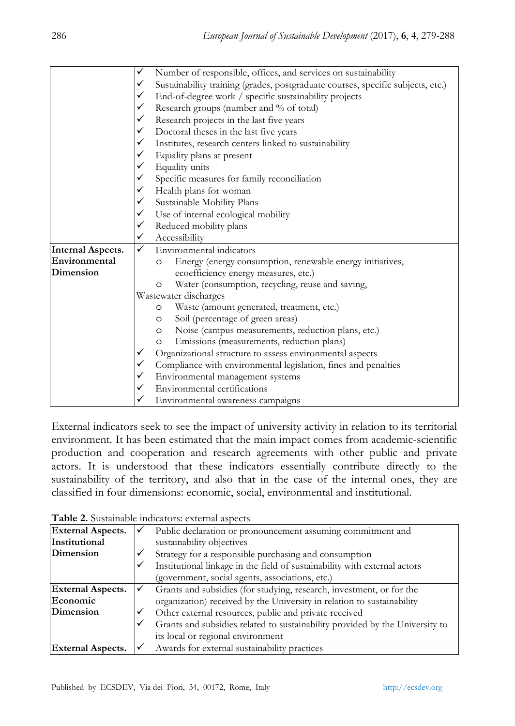|                          | ✓ | Number of responsible, offices, and services on sustainability                  |  |  |
|--------------------------|---|---------------------------------------------------------------------------------|--|--|
|                          | ✓ | Sustainability training (grades, postgraduate courses, specific subjects, etc.) |  |  |
|                          | ✓ | End-of-degree work / specific sustainability projects                           |  |  |
|                          | ✓ | Research groups (number and % of total)                                         |  |  |
|                          | ✓ | Research projects in the last five years                                        |  |  |
|                          | ✓ | Doctoral theses in the last five years                                          |  |  |
|                          | ✓ | Institutes, research centers linked to sustainability                           |  |  |
|                          |   | Equality plans at present                                                       |  |  |
|                          |   | Equality units                                                                  |  |  |
|                          | ✓ | Specific measures for family reconciliation                                     |  |  |
|                          |   | Health plans for woman                                                          |  |  |
|                          | ✓ | Sustainable Mobility Plans                                                      |  |  |
|                          | ✓ | Use of internal ecological mobility                                             |  |  |
|                          |   | Reduced mobility plans                                                          |  |  |
|                          |   | Accessibility                                                                   |  |  |
| <b>Internal Aspects.</b> | ✓ | Environmental indicators                                                        |  |  |
| Environmental            |   | Energy (energy consumption, renewable energy initiatives,<br>$\circ$            |  |  |
| Dimension                |   | ecoefficiency energy measures, etc.)                                            |  |  |
|                          |   | Water (consumption, recycling, reuse and saving,<br>$\circ$                     |  |  |
|                          |   | Wastewater discharges                                                           |  |  |
|                          |   | Waste (amount generated, treatment, etc.)<br>$\circ$                            |  |  |
|                          |   | Soil (percentage of green areas)<br>$\circ$                                     |  |  |
|                          |   | Noise (campus measurements, reduction plans, etc.)<br>$\circ$                   |  |  |
|                          |   | Emissions (measurements, reduction plans)<br>$\circ$                            |  |  |
|                          |   | Organizational structure to assess environmental aspects                        |  |  |
|                          |   | Compliance with environmental legislation, fines and penalties                  |  |  |
|                          |   | Environmental management systems                                                |  |  |
|                          |   | Environmental certifications                                                    |  |  |
|                          |   | Environmental awareness campaigns                                               |  |  |

External indicators seek to see the impact of university activity in relation to its territorial environment. It has been estimated that the main impact comes from academic-scientific production and cooperation and research agreements with other public and private actors. It is understood that these indicators essentially contribute directly to the sustainability of the territory, and also that in the case of the internal ones, they are classified in four dimensions: economic, social, environmental and institutional.

|  | Table 2. Sustainable indicators: external aspects |  |  |  |
|--|---------------------------------------------------|--|--|--|
|--|---------------------------------------------------|--|--|--|

| <b>External Aspects.</b> | Public declaration or pronouncement assuming commitment and                  |  |
|--------------------------|------------------------------------------------------------------------------|--|
| Institutional            | sustainability objectives                                                    |  |
| Dimension                | Strategy for a responsible purchasing and consumption                        |  |
|                          | Institutional linkage in the field of sustainability with external actors    |  |
|                          | (government, social agents, associations, etc.)                              |  |
| <b>External Aspects.</b> | Grants and subsidies (for studying, research, investment, or for the         |  |
| Economic                 | organization) received by the University in relation to sustainability       |  |
| Dimension                | Other external resources, public and private received                        |  |
|                          | Grants and subsidies related to sustainability provided by the University to |  |
|                          | its local or regional environment                                            |  |
| <b>External Aspects.</b> | Awards for external sustainability practices                                 |  |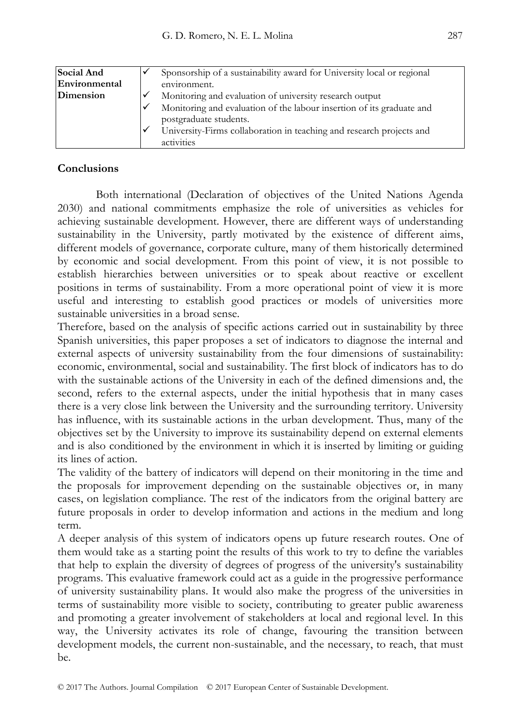| Social And    |   | Sponsorship of a sustainability award for University local or regional |  |
|---------------|---|------------------------------------------------------------------------|--|
| Environmental |   | environment.                                                           |  |
| Dimension     |   | Monitoring and evaluation of university research output                |  |
|               | ✓ | Monitoring and evaluation of the labour insertion of its graduate and  |  |
|               |   | postgraduate students.                                                 |  |
|               | ✓ | University-Firms collaboration in teaching and research projects and   |  |
|               |   | activities                                                             |  |

## **Conclusions**

Both international (Declaration of objectives of the United Nations Agenda 2030) and national commitments emphasize the role of universities as vehicles for achieving sustainable development. However, there are different ways of understanding sustainability in the University, partly motivated by the existence of different aims, different models of governance, corporate culture, many of them historically determined by economic and social development. From this point of view, it is not possible to establish hierarchies between universities or to speak about reactive or excellent positions in terms of sustainability. From a more operational point of view it is more useful and interesting to establish good practices or models of universities more sustainable universities in a broad sense.

Therefore, based on the analysis of specific actions carried out in sustainability by three Spanish universities, this paper proposes a set of indicators to diagnose the internal and external aspects of university sustainability from the four dimensions of sustainability: economic, environmental, social and sustainability. The first block of indicators has to do with the sustainable actions of the University in each of the defined dimensions and, the second, refers to the external aspects, under the initial hypothesis that in many cases there is a very close link between the University and the surrounding territory. University has influence, with its sustainable actions in the urban development. Thus, many of the objectives set by the University to improve its sustainability depend on external elements and is also conditioned by the environment in which it is inserted by limiting or guiding its lines of action.

The validity of the battery of indicators will depend on their monitoring in the time and the proposals for improvement depending on the sustainable objectives or, in many cases, on legislation compliance. The rest of the indicators from the original battery are future proposals in order to develop information and actions in the medium and long term.

A deeper analysis of this system of indicators opens up future research routes. One of them would take as a starting point the results of this work to try to define the variables that help to explain the diversity of degrees of progress of the university's sustainability programs. This evaluative framework could act as a guide in the progressive performance of university sustainability plans. It would also make the progress of the universities in terms of sustainability more visible to society, contributing to greater public awareness and promoting a greater involvement of stakeholders at local and regional level. In this way, the University activates its role of change, favouring the transition between development models, the current non-sustainable, and the necessary, to reach, that must be.